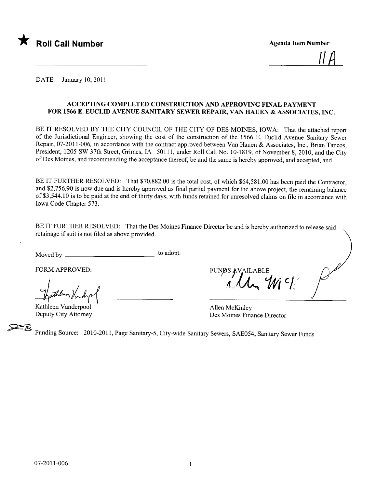

<u>ii H</u>

DATE January 10, 2011

# ACCEPTING COMPLETED CONSTRUCTION AND APPROVING FINAL PAYMENT FOR 1566 E. EUCLID AVENUE SANITARY SEWER REPAIR, VAN HAUEN & ASSOCIATES, INC.

BE IT RESOLVED BY THE CITY COUNCIL OF THE CITY OF DES MOINES, IOWA: That the attached report of the Jurisdictional Engineer, showing the cost of the construction of the 1566 E. Euclid Avenue Sanitary Sewer Repair, 07-2011-006, in accordance with the contract approved between Van Hauen & Associates, Inc., Brian Tancos, President, 1205 SW 37th Street, Grimes, IA 50111, under Roll Call No. 10-1819, of November 8, 2010, and the City of Des Moines, and recommending the acceptance thereof, be and the same is hereby approved, and accepted, and

BE IT FURTHER RESOLVED: That \$70,882.00 is the total cost, of which \$64,581.00 has been paid the Contractor, and \$2,756.90 is now due and is hereby approved as final partial payment for the above project, the remaining balance of \$3,544. 10 is to be paid at the end of thirty days, with funds retained for unresolved claims on fie in accordance with Iowa Code Chapter 573.

BE IT FURTHER RESOLVED: That the Des Moines Finance Director be and is hereby authorized to release said retainage if suit is not fied as above provided.

Moved by to adopt.

FORM APPROVED:

puthern Vindys

Kathleen Vanderpool Deputy City Attorney

 $\Lambda$ ,  $\Lambda$   $\sim$  1

Allen McKinley Des Moines Finance Director

~ Funding Source: 2010-2011, Page Sanitary-5, City-wide Sanitary Sewers, SAE054, Sanitary Sewer Funds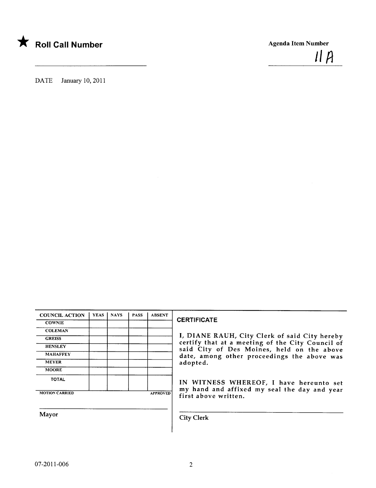

 $IIA$ 

DATE January 10, 2011

| <b>COUNCIL ACTION</b> | <b>YEAS</b> | <b>NAYS</b> | <b>PASS</b> | <b>ABSENT</b>   |
|-----------------------|-------------|-------------|-------------|-----------------|
| <b>COWNIE</b>         |             |             |             |                 |
| <b>COLEMAN</b>        |             |             |             |                 |
| <b>GREISS</b>         |             |             |             |                 |
| <b>HENSLEY</b>        |             |             |             |                 |
| <b>MAHAFFEY</b>       |             |             |             |                 |
| <b>MEYER</b>          |             |             |             |                 |
| <b>MOORE</b>          |             |             |             |                 |
| <b>TOTAL</b>          |             |             |             |                 |
| <b>MOTION CARRIED</b> |             |             |             | <b>APPROVED</b> |

# **CERTIFICATE**

I, DIANE RAUH, City Clerk of said City hereby certify that at a meeting of the City Council of said City of Des Moines, held on the above date, among other proceedings the above was adopted.

IN WITNESS WHEREOF, I have hereunto set my hand and affixed my seal the day and year first above written.

Mayor Gity Clerk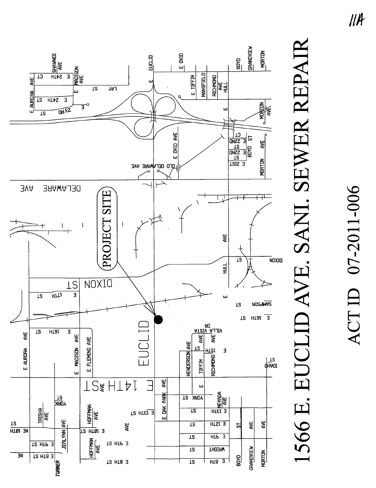

# 07-2011-006 ACT ID

# 1566 E. EUCLID AVE. SANI. SEWER REPAIR

 $III$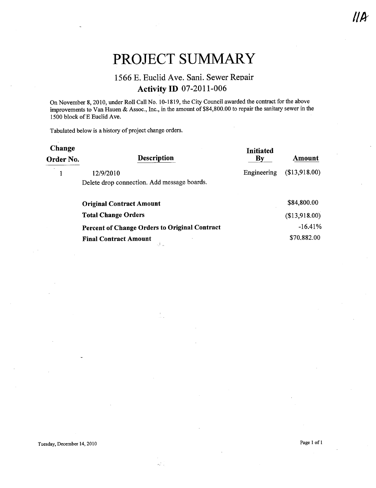# PROJECT SUMMARY

# 1566 E. Euclid Ave. Sani. Sewer Repair **Activity ID 07-2011-006**

On November 8, 2010, under Roll Call No. 10-1819, the City Council awarded the contract for the above improvements to Van Hauen & Assoc., Inc., in the amount of \$84,800.00 to repair the sanitary sewer in the 1500 block of E Euclid Ave.

Tabulated below is a history of project change orders.

| Change<br>Order No. | <b>Description</b>                                   | <b>Initiated</b><br>$\mathbf{B}\mathbf{v}$ | Amount        |
|---------------------|------------------------------------------------------|--------------------------------------------|---------------|
|                     | 12/9/2010                                            | Engineering                                | (\$13,918.00) |
|                     | Delete drop connection. Add message boards.          |                                            |               |
|                     | <b>Original Contract Amount</b>                      |                                            | \$84,800.00   |
|                     | <b>Total Change Orders</b>                           |                                            | (\$13,918.00) |
|                     | <b>Percent of Change Orders to Original Contract</b> |                                            | $-16.41%$     |
|                     | <b>Final Contract Amount</b>                         |                                            | \$70,882.00   |

 $\mathcal{L}^{(n)}_{\mathbf{z}}$ 

Tuesday, December 14, 2010

Page 1 of 1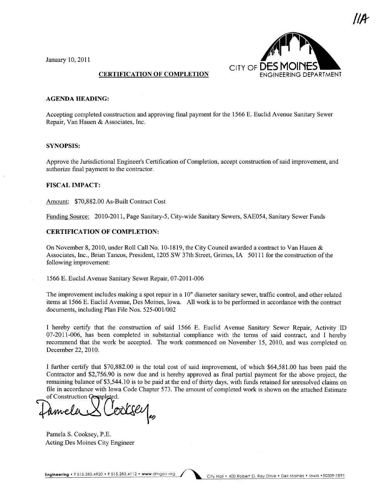January 10,2011



|IR

# CERTIFICATION OF COMPLETION

## AGENDA HEADING:

Accepting completed construction and approving final payment for the 1566 E. Euclid Avenue Sanitary Sewer Repair, Van Hauen & Associates, Inc.

# SYNOPSIS:

Approve the Jurisdictional Engineer's Certification of Completion, accept construction of said improvement, and authorize final payment to the contractor.

## FISCAL IMPACT:

Amount: \$70,882.00 As-Built Contract Cost

Funding Source: 2010-2011, Page Sanitary-5, City-wide Sanitary Sewers, SAE054, Sanitary Sewer Funds

# CERTIFICATION OF COMPLETION:

On November 8,2010, under Roll Call No. 10-1819, the City Council awarded a contract to Van Hauen & Associates, Inc., Brian Tancos, President, 1205 SW 37th Street, Grimes, IA 50111 for the construction of the following improvement:

1566 E. Euclid Avenue Sanitary Sewer Repair, 07-2011-006

The improvement includes making a spot repair in a 10" diameter sanitary sewer, traffic control, and other related items at 1566 E. Euclid Avenue, Des Moines, Iowa. All work is to be performed in accordance with the contract documents, including Plan File Nos. 525-001/002

I hereby certify that the construction of said 1566 E. Euclid Avenue Sanitary Sewer Repair, Activity ID 07-2011-006, has been completed in substantial compliance with the terms of said contract, and I hereby recommend that the work be accepted. The work commenced on November 15, 2010, and was completed on December 22, 2010.

I further certify that \$70,882.00 is the total cost of said improvement, of which \$64,581.00 has been paid the Contractor and \$2,756.90 is now due and is hereby approved as final partial payment for the above project, the remaining balance of \$3,544. 10 is to be paid at the end of thirty days, with funds retained for unresolved claims on file in accordance with Iowa Code Chapter 573. The amount of completed work is shown on the attached Estimate<br>of Construction Completed.

Pamela S. Cooksey, P.E. Acting Des Moines City Engineer